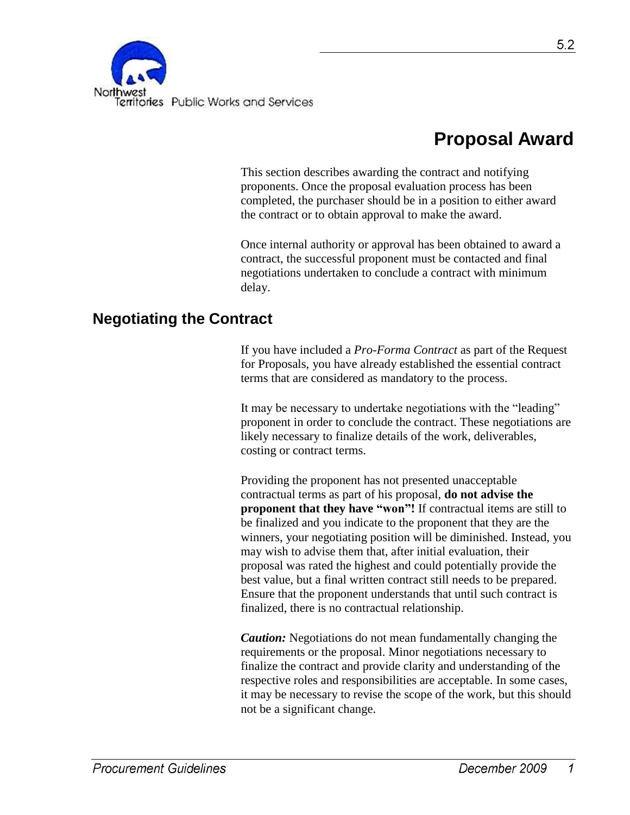

# **Proposal Award**

This section describes awarding the contract and notifying proponents. Once the proposal evaluation process has been completed, the purchaser should be in a position to either award the contract or to obtain approval to make the award.

Once internal authority or approval has been obtained to award a contract, the successful proponent must be contacted and final negotiations undertaken to conclude a contract with minimum delay.

## **Negotiating the Contract**

If you have included a *Pro-Forma Contract* as part of the Request for Proposals, you have already established the essential contract terms that are considered as mandatory to the process.

It may be necessary to undertake negotiations with the "leading" proponent in order to conclude the contract. These negotiations are likely necessary to finalize details of the work, deliverables, costing or contract terms.

Providing the proponent has not presented unacceptable contractual terms as part of his proposal, **do not advise the proponent that they have "won"!** If contractual items are still to be finalized and you indicate to the proponent that they are the winners, your negotiating position will be diminished. Instead, you may wish to advise them that, after initial evaluation, their proposal was rated the highest and could potentially provide the best value, but a final written contract still needs to be prepared. Ensure that the proponent understands that until such contract is finalized, there is no contractual relationship.

*Caution:* Negotiations do not mean fundamentally changing the requirements or the proposal. Minor negotiations necessary to finalize the contract and provide clarity and understanding of the respective roles and responsibilities are acceptable. In some cases, it may be necessary to revise the scope of the work, but this should not be a significant change.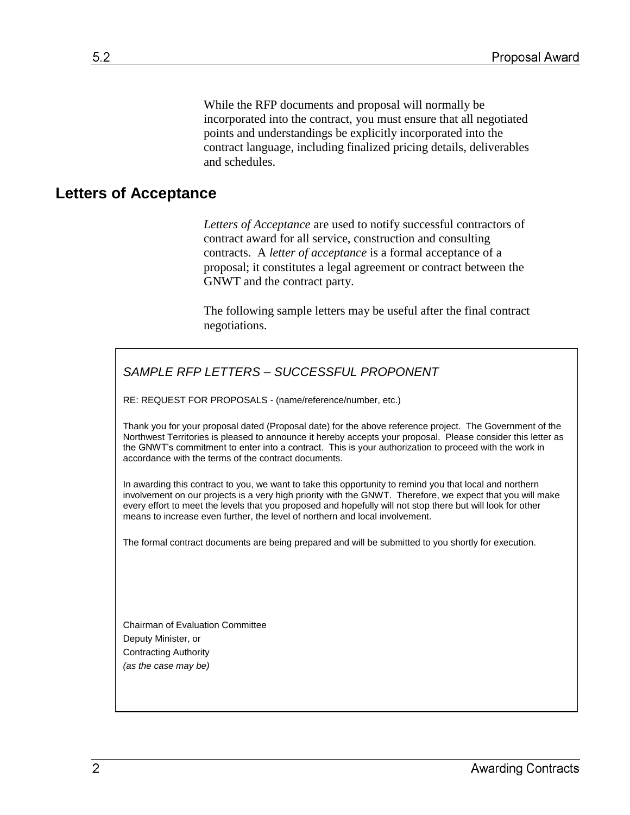While the RFP documents and proposal will normally be incorporated into the contract, you must ensure that all negotiated points and understandings be explicitly incorporated into the contract language, including finalized pricing details, deliverables and schedules.

### **Letters of Acceptance**

*Letters of Acceptance* are used to notify successful contractors of contract award for all service, construction and consulting contracts. A *letter of acceptance* is a formal acceptance of a proposal; it constitutes a legal agreement or contract between the GNWT and the contract party.

The following sample letters may be useful after the final contract negotiations.

#### *SAMPLE RFP LETTERS – SUCCESSFUL PROPONENT*

RE: REQUEST FOR PROPOSALS - (name/reference/number, etc.)

Thank you for your proposal dated (Proposal date) for the above reference project. The Government of the Northwest Territories is pleased to announce it hereby accepts your proposal. Please consider this letter as the GNWT's commitment to enter into a contract. This is your authorization to proceed with the work in accordance with the terms of the contract documents.

In awarding this contract to you, we want to take this opportunity to remind you that local and northern involvement on our projects is a very high priority with the GNWT. Therefore, we expect that you will make every effort to meet the levels that you proposed and hopefully will not stop there but will look for other means to increase even further, the level of northern and local involvement.

The formal contract documents are being prepared and will be submitted to you shortly for execution.

Chairman of Evaluation Committee Deputy Minister, or Contracting Authority *(as the case may be)*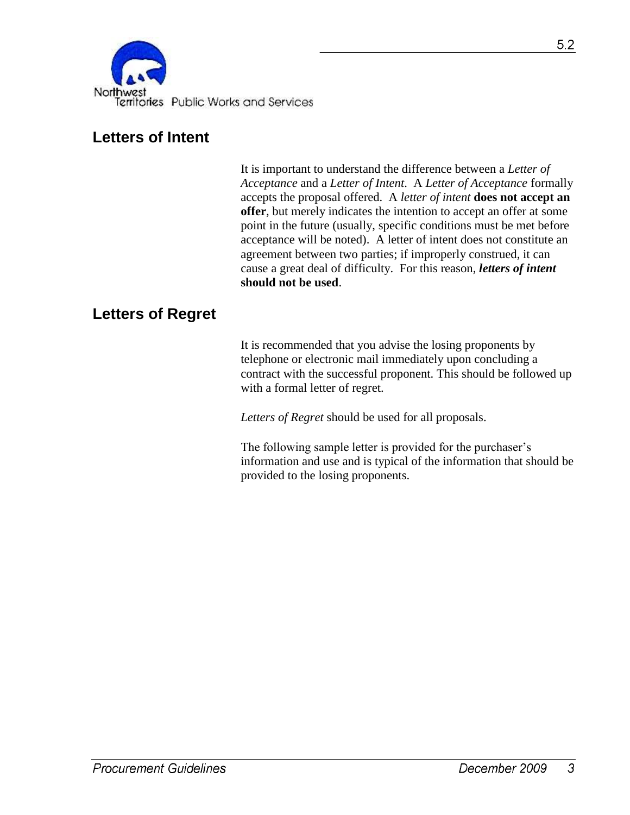

### **Letters of Intent**

It is important to understand the difference between a *Letter of Acceptance* and a *Letter of Intent*. A *Letter of Acceptance* formally accepts the proposal offered. A *letter of intent* **does not accept an offer**, but merely indicates the intention to accept an offer at some point in the future (usually, specific conditions must be met before acceptance will be noted). A letter of intent does not constitute an agreement between two parties; if improperly construed, it can cause a great deal of difficulty. For this reason, *letters of intent* **should not be used**.

### **Letters of Regret**

It is recommended that you advise the losing proponents by telephone or electronic mail immediately upon concluding a contract with the successful proponent. This should be followed up with a formal letter of regret.

*Letters of Regret* should be used for all proposals.

The following sample letter is provided for the purchaser's information and use and is typical of the information that should be provided to the losing proponents.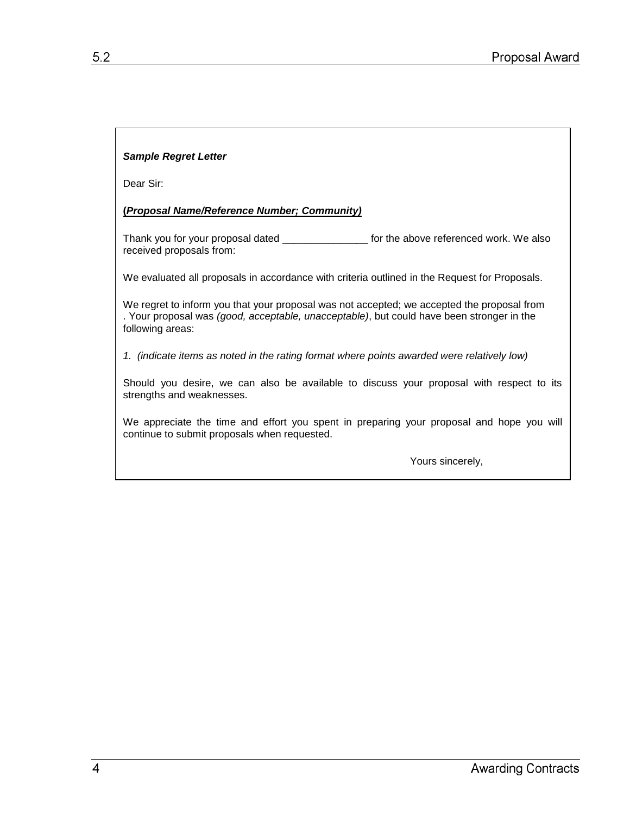#### *Sample Regret Letter*

Dear Sir:

#### **(***Proposal Name/Reference Number; Community)*

Thank you for your proposal dated \_\_\_\_\_\_\_\_\_\_\_\_\_\_\_\_\_\_\_ for the above referenced work. We also received proposals from:

We evaluated all proposals in accordance with criteria outlined in the Request for Proposals.

We regret to inform you that your proposal was not accepted; we accepted the proposal from . Your proposal was *(good, acceptable, unacceptable)*, but could have been stronger in the following areas:

*1. (indicate items as noted in the rating format where points awarded were relatively low)*

Should you desire, we can also be available to discuss your proposal with respect to its strengths and weaknesses.

We appreciate the time and effort you spent in preparing your proposal and hope you will continue to submit proposals when requested.

Yours sincerely,